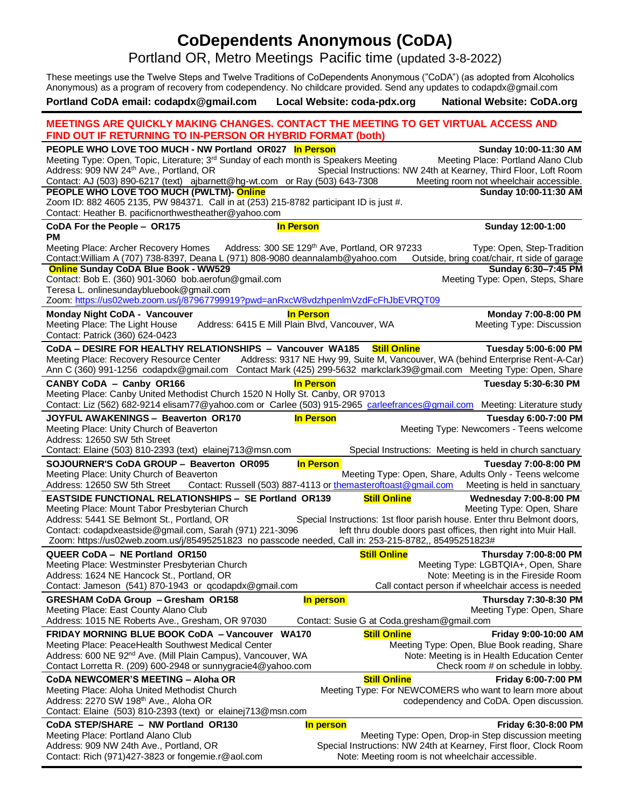# **CoDependents Anonymous (CoDA)**

Portland OR, Metro Meetings Pacific time (updated 3-8-2022)

These meetings use the Twelve Steps and Twelve Traditions of CoDependents Anonymous ("CoDA") (as adopted from Alcoholics Anonymous) as a program of recovery from codependency. No childcare provided. Send any updates to codapdx@gmail.com **Portland CoDA email: codapdx@gmail.com Local Website: coda-pdx.org National Website: CoDA.org**

| <b>MEETINGS ARE QUICKLY MAKING CHANGES. CONTACT THE MEETING TO GET VIRTUAL ACCESS AND</b><br>FIND OUT IF RETURNING TO IN-PERSON OR HYBRID FORMAT (both) |                                                                                                    |
|---------------------------------------------------------------------------------------------------------------------------------------------------------|----------------------------------------------------------------------------------------------------|
| PEOPLE WHO LOVE TOO MUCH - NW Portland OR027 In Person                                                                                                  | Sunday 10:00-11:30 AM                                                                              |
| Meeting Type: Open, Topic, Literature; 3 <sup>rd</sup> Sunday of each month is Speakers Meeting                                                         | Meeting Place: Portland Alano Club                                                                 |
| Address: 909 NW 24th Ave., Portland, OR                                                                                                                 | Special Instructions: NW 24th at Kearney, Third Floor, Loft Room                                   |
| Contact: AJ (503) 890-6217 (text) ajbarnett@hg-wt.com or Ray (503) 643-7308                                                                             | Meeting room not wheelchair accessible.                                                            |
| PEOPLE WHO LOVE TOO MUCH (PWLTM)- Online                                                                                                                | Sunday 10:00-11:30 AM                                                                              |
| Zoom ID: 882 4605 2135, PW 984371. Call in at (253) 215-8782 participant ID is just #.<br>Contact: Heather B. pacificnorthwestheather@yahoo.com         |                                                                                                    |
|                                                                                                                                                         |                                                                                                    |
| CoDA For the People - OR175<br><b>In Person</b><br><b>PM</b>                                                                                            | Sunday 12:00-1:00                                                                                  |
| Meeting Place: Archer Recovery Homes                                                                                                                    | Address: 300 SE 129th Ave, Portland, OR 97233<br>Type: Open, Step-Tradition                        |
| Contact: William A (707) 738-8397, Deana L (971) 808-9080 deannalamb@yahoo.com<br><b>Online Sunday CoDA Blue Book - WW529</b>                           | Outside, bring coat/chair, rt side of garage<br>Sunday 6:30-7:45 PM                                |
| Contact: Bob E. (360) 901-3060 bob.aerofun@gmail.com                                                                                                    | Meeting Type: Open, Steps, Share                                                                   |
| Teresa L. onlinesundaybluebook@gmail.com                                                                                                                |                                                                                                    |
| Zoom: https://us02web.zoom.us/j/87967799919?pwd=anRxcW8vdzhpenImVzdFcFhJbEVRQT09                                                                        |                                                                                                    |
| <b>Monday Night CoDA - Vancouver</b><br><b>In Person</b>                                                                                                | Monday 7:00-8:00 PM                                                                                |
| Address: 6415 E Mill Plain Blvd, Vancouver, WA<br>Meeting Place: The Light House                                                                        | Meeting Type: Discussion                                                                           |
| Contact: Patrick (360) 624-0423                                                                                                                         |                                                                                                    |
| CoDA - DESIRE FOR HEALTHY RELATIONSHIPS - Vancouver WA185                                                                                               | <b>Still Online</b><br>Tuesday 5:00-6:00 PM                                                        |
| Meeting Place: Recovery Resource Center                                                                                                                 | Address: 9317 NE Hwy 99, Suite M, Vancouver, WA (behind Enterprise Rent-A-Car)                     |
| Ann C (360) 991-1256 codapdx@gmail.com                                                                                                                  | Contact Mark (425) 299-5632 markclark39@gmail.com Meeting Type: Open, Share                        |
|                                                                                                                                                         |                                                                                                    |
| CANBY CoDA - Canby OR166<br><b>In Person</b><br>Meeting Place: Canby United Methodist Church 1520 N Holly St. Canby, OR 97013                           | Tuesday 5:30-6:30 PM                                                                               |
| Contact: Liz (562) 682-9214 elisam77@yahoo.com or Carlee (503) 915-2965 carleefrances@gmail.com Meeting: Literature study                               |                                                                                                    |
|                                                                                                                                                         |                                                                                                    |
| <b>JOYFUL AWAKENINGS - Beaverton OR170</b><br><b>In Person</b><br>Meeting Place: Unity Church of Beaverton                                              | Tuesday 6:00-7:00 PM<br>Meeting Type: Newcomers - Teens welcome                                    |
| Address: 12650 SW 5th Street                                                                                                                            |                                                                                                    |
| Contact: Elaine (503) 810-2393 (text) elainej713@msn.com                                                                                                | Special Instructions: Meeting is held in church sanctuary                                          |
| SOJOURNER'S CoDA GROUP - Beaverton OR095                                                                                                                |                                                                                                    |
| Meeting Place: Unity Church of Beaverton                                                                                                                | <b>In Person</b><br>Tuesday 7:00-8:00 PM<br>Meeting Type: Open, Share, Adults Only - Teens welcome |
| Address: 12650 SW 5th Street                                                                                                                            | Contact: Russell (503) 887-4113 or themasteroftoast@gmail.com<br>Meeting is held in sanctuary      |
| <b>EASTSIDE FUNCTIONAL RELATIONSHIPS - SE Portland OR139</b>                                                                                            |                                                                                                    |
| Meeting Place: Mount Tabor Presbyterian Church                                                                                                          | <b>Still Online</b><br><b>Wednesday 7:00-8:00 PM</b><br>Meeting Type: Open, Share                  |
| Address: 5441 SE Belmont St., Portland, OR                                                                                                              | Special Instructions: 1st floor parish house. Enter thru Belmont doors,                            |
| Contact: codapdxeastside@gmail.com, Sarah (971) 221-3096                                                                                                | left thru double doors past offices, then right into Muir Hall.                                    |
| Zoom: https://us02web.zoom.us/j/85495251823 no passcode needed, Call in: 253-215-8782,, 85495251823#                                                    |                                                                                                    |
| QUEER CoDA - NE Portland OR150                                                                                                                          | <b>Still Online</b><br><b>Thursday 7:00-8:00 PM</b>                                                |
| Meeting Place: Westminster Presbyterian Church                                                                                                          | Meeting Type: LGBTQIA+, Open, Share                                                                |
| Address: 1624 NE Hancock St., Portland, OR                                                                                                              | Note: Meeting is in the Fireside Room                                                              |
| Contact: Jameson (541) 870-1943 or qcodapdx@gmail.com                                                                                                   | Call contact person if wheelchair access is needed                                                 |
| GRESHAM CoDA Group - Gresham OR158                                                                                                                      | In person<br><b>Thursday 7:30-8:30 PM</b>                                                          |
| Meeting Place: East County Alano Club                                                                                                                   | Meeting Type: Open, Share                                                                          |
| Address: 1015 NE Roberts Ave., Gresham, OR 97030                                                                                                        | Contact: Susie G at Coda.gresham@gmail.com                                                         |
| FRIDAY MORNING BLUE BOOK CoDA - Vancouver<br><b>WA170</b>                                                                                               | <b>Still Online</b><br>Friday 9:00-10:00 AM                                                        |
| Meeting Place: PeaceHealth Southwest Medical Center                                                                                                     | Meeting Type: Open, Blue Book reading, Share                                                       |
| Address: 600 NE 92 <sup>nd</sup> Ave. (Mill Plain Campus), Vancouver, WA                                                                                | Note: Meeting is in Health Education Center                                                        |
| Contact Lorretta R. (209) 600-2948 or sunnygracie4@yahoo.com                                                                                            | Check room # on schedule in lobby.                                                                 |
| <b>CoDA NEWCOMER'S MEETING - Aloha OR</b>                                                                                                               | <b>Still Online</b><br>Friday 6:00-7:00 PM                                                         |
| Meeting Place: Aloha United Methodist Church                                                                                                            | Meeting Type: For NEWCOMERS who want to learn more about                                           |
| Address: 2270 SW 198 <sup>th</sup> Ave., Aloha OR                                                                                                       | codependency and CoDA. Open discussion.                                                            |
| Contact: Elaine (503) 810-2393 (text) or elainej713@msn.com                                                                                             |                                                                                                    |
| CoDA STEP/SHARE - NW Portland OR130                                                                                                                     | Friday 6:30-8:00 PM<br>In person                                                                   |
| Meeting Place: Portland Alano Club                                                                                                                      | Meeting Type: Open, Drop-in Step discussion meeting                                                |
| Address: 909 NW 24th Ave., Portland, OR                                                                                                                 | Special Instructions: NW 24th at Kearney, First floor, Clock Room                                  |
| Contact: Rich (971)427-3823 or fongemie.r@aol.com                                                                                                       | Note: Meeting room is not wheelchair accessible.                                                   |